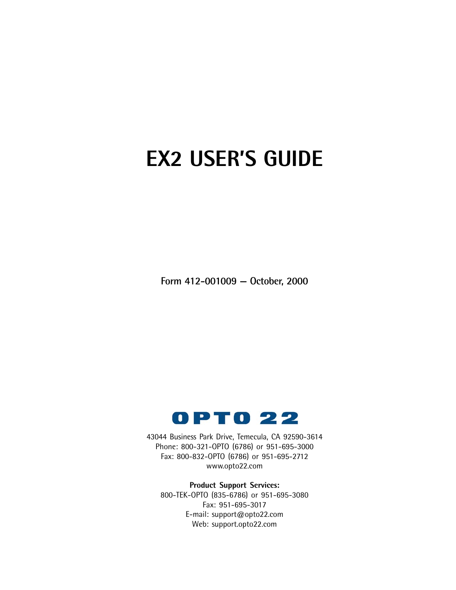# **EX2 USER'S GUIDE**

**Form 412-001009 — October, 2000**



43044 Business Park Drive, Temecula, CA 92590-3614 Phone: 800-321-OPTO (6786) or 951-695-3000 Fax: 800-832-OPTO (6786) or 951-695-2712 www.opto22.com

**Product Support Services:** 800-TEK-OPTO (835-6786) or 951-695-3080 Fax: 951-695-3017 E-mail: support@opto22.com Web: support.opto22.com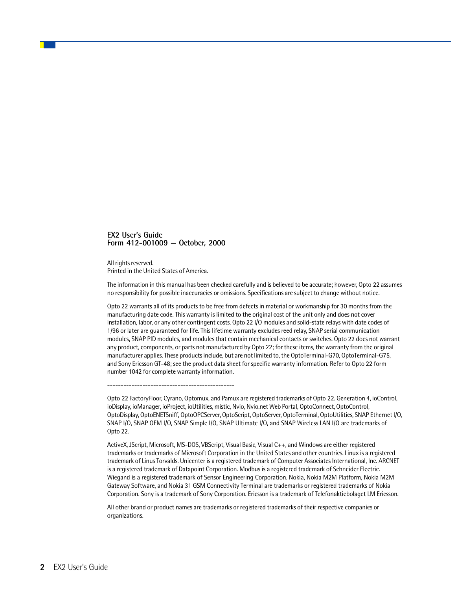#### **EX2 User's Guide Form 412-001009 — October, 2000**

All rights reserved. Printed in the United States of America.

The information in this manual has been checked carefully and is believed to be accurate; however, Opto 22 assumes no responsibility for possible inaccuracies or omissions. Specifications are subject to change without notice.

Opto 22 warrants all of its products to be free from defects in material or workmanship for 30 months from the manufacturing date code. This warranty is limited to the original cost of the unit only and does not cover installation, labor, or any other contingent costs. Opto 22 I/O modules and solid-state relays with date codes of 1/96 or later are guaranteed for life. This lifetime warranty excludes reed relay, SNAP serial communication modules, SNAP PID modules, and modules that contain mechanical contacts or switches. Opto 22 does not warrant any product, components, or parts not manufactured by Opto 22; for these items, the warranty from the original manufacturer applies. These products include, but are not limited to, the OptoTerminal-G70, OptoTerminal-G75, and Sony Ericsson GT-48; see the product data sheet for specific warranty information. Refer to Opto 22 form number 1042 for complete warranty information.

-----------------------------------------------

Opto 22 FactoryFloor, Cyrano, Optomux, and Pamux are registered trademarks of Opto 22. Generation 4, ioControl, ioDisplay, ioManager, ioProject, ioUtilities, mistic, Nvio, Nvio.net Web Portal, OptoConnect, OptoControl, OptoDisplay, OptoENETSniff, OptoOPCServer, OptoScript, OptoServer, OptoTerminal, OptoUtilities, SNAP Ethernet I/O, SNAP I/O, SNAP OEM I/O, SNAP Simple I/O, SNAP Ultimate I/O, and SNAP Wireless LAN I/O are trademarks of Opto 22.

ActiveX, JScript, Microsoft, MS-DOS, VBScript, Visual Basic, Visual C++, and Windows are either registered trademarks or trademarks of Microsoft Corporation in the United States and other countries. Linux is a registered trademark of Linus Torvalds. Unicenter is a registered trademark of Computer Associates International, Inc. ARCNET is a registered trademark of Datapoint Corporation. Modbus is a registered trademark of Schneider Electric. Wiegand is a registered trademark of Sensor Engineering Corporation. Nokia, Nokia M2M Platform, Nokia M2M Gateway Software, and Nokia 31 GSM Connectivity Terminal are trademarks or registered trademarks of Nokia Corporation. Sony is a trademark of Sony Corporation. Ericsson is a trademark of Telefonaktiebolaget LM Ericsson.

All other brand or product names are trademarks or registered trademarks of their respective companies or organizations.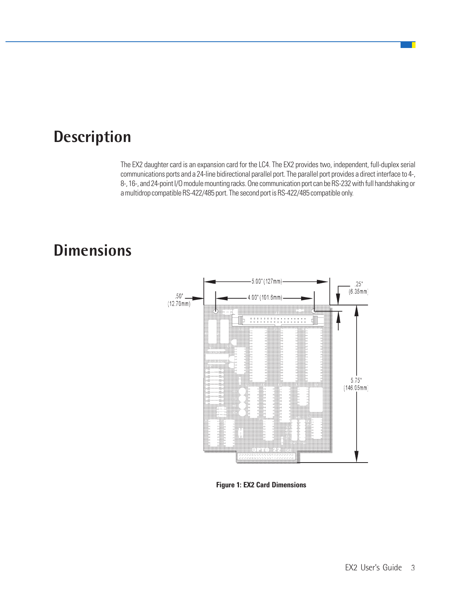### **Description**

The EX2 daughter card is an expansion card for the LC4. The EX2 provides two, independent, full-duplex serial communications ports and a 24-line bidirectional parallel port. The parallel port provides a direct interface to 4-, 8-, 16-, and 24-point I/O module mounting racks. One communication port can be RS-232 with full handshaking or a multidrop compatible RS-422/485 port. The second port is RS-422/485 compatible only.

# **Dimensions**



**Figure 1: EX2 Card Dimensions**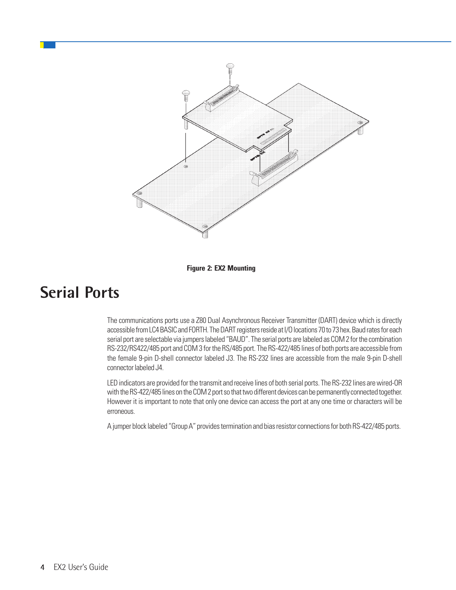

**Figure 2: EX2 Mounting**

### **Serial Ports**

The communications ports use a Z80 Dual Asynchronous Receiver Transmitter (DART) device which is directly accessible from LC4 BASIC and FORTH. The DART registers reside at I/O locations 70 to 73 hex. Baud rates for each serial port are selectable via jumpers labeled "BAUD". The serial ports are labeled as COM 2 for the combination RS-232/RS422/485 port and COM 3 for the RS/485 port. The RS-422/485 lines of both ports are accessible from the female 9-pin D-shell connector labeled J3. The RS-232 lines are accessible from the male 9-pin D-shell connector labeled J4.

LED indicators are provided for the transmit and receive lines of both serial ports. The RS-232 lines are wired-OR with the RS-422/485 lines on the COM 2 port so that two different devices can be permanently connected together. However it is important to note that only one device can access the port at any one time or characters will be erroneous.

A jumper block labeled "Group A" provides termination and bias resistor connections for both RS-422/485 ports.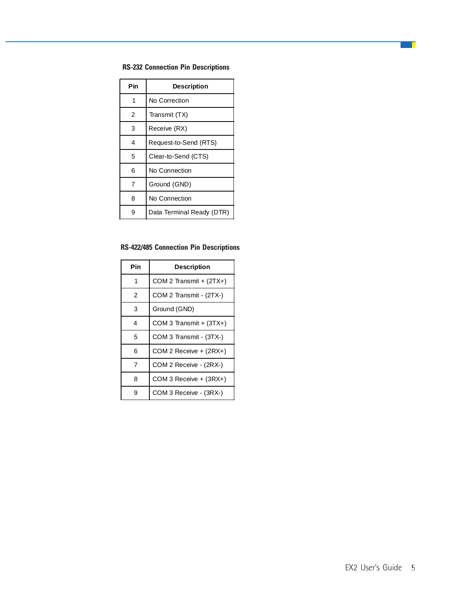### **RS-232 Connection Pin Descriptions**

| Pin | Description               |
|-----|---------------------------|
|     | No Correction             |
| 2   | Transmit (TX)             |
| 3   | Receive (RX)              |
| 4   | Request-to-Send (RTS)     |
| 5   | Clear-to-Send (CTS)       |
| 6   | No Connection             |
| 7   | Ground (GND)              |
| 8   | No Connection             |
| g   | Data Terminal Ready (DTR) |

### **RS-422/485 Connection Pin Descriptions**

| Pin | <b>Description</b>        |
|-----|---------------------------|
| 1   | COM 2 Transmit + $(2TX+)$ |
| 2   | COM 2 Transmit - (2TX-)   |
| 3   | Ground (GND)              |
| 4   | COM 3 Transmit + (3TX+)   |
| 5   | COM 3 Transmit - (3TX-)   |
| 6   | COM 2 Receive + (2RX+)    |
| 7   | COM 2 Receive - (2RX-)    |
| 8   | COM 3 Receive + (3RX+)    |
|     | COM 3 Receive - (3RX-)    |

a T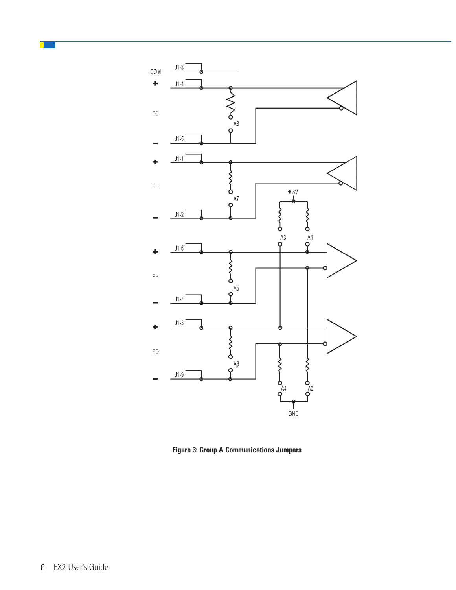

**Figure 3: Group A Communications Jumpers**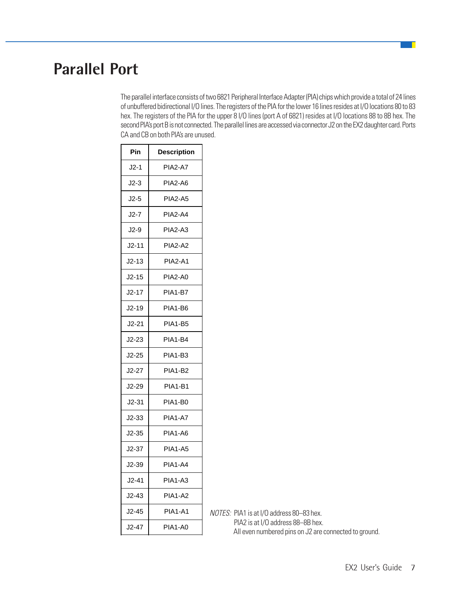# **Parallel Port**

The parallel interface consists of two 6821 Peripheral Interface Adapter (PIA) chips which provide a total of 24 lines of unbuffered bidirectional I/O lines. The registers of the PIA for the lower 16 lines resides at I/O locations 80 to 83 hex. The registers of the PIA for the upper 8 I/O lines (port A of 6821) resides at I/O locations 88 to 8B hex. The second PIA's port B is not connected. The parallel lines are accessed via connector J2 on the EX2 daughter card. Ports CA and CB on both PIA's are unused.

| Pin     | <b>Description</b> |
|---------|--------------------|
| J2-1    | <b>PIA2-A7</b>     |
| $J2-3$  | PIA2-A6            |
| $J2-5$  | <b>PIA2-A5</b>     |
| J2-7    | PIA2-A4            |
| $J2-9$  | PIA2-A3            |
| J2-11   | <b>PIA2-A2</b>     |
| $J2-13$ | <b>PIA2-A1</b>     |
| $J2-15$ | PIA2-A0            |
| J2-17   | PIA1-B7            |
| $J2-19$ | PIA1-B6            |
| $J2-21$ | <b>PIA1-B5</b>     |
| $J2-23$ | PIA1-B4            |
| $J2-25$ | <b>PIA1-B3</b>     |
| $J2-27$ | PIA1-B2            |
| $J2-29$ | <b>PIA1-B1</b>     |
| $J2-31$ | PIA1-B0            |
| J2-33   | PIA1-A7            |
| $J2-35$ | PIA1-A6            |
| $J2-37$ | <b>PIA1-A5</b>     |
| $J2-39$ | <b>PIA1-A4</b>     |
| $J2-41$ | PIA1-A3            |
| J2-43   | PIA1-A2            |
| J2-45   | <b>PIA1-A1</b>     |
| $J2-47$ | PIA1-A0            |

NOTES: PIA1 is at I/O address 80–83 hex. PIA2 is at I/O address 88–8B hex. All even numbered pins on J2 are connected to ground.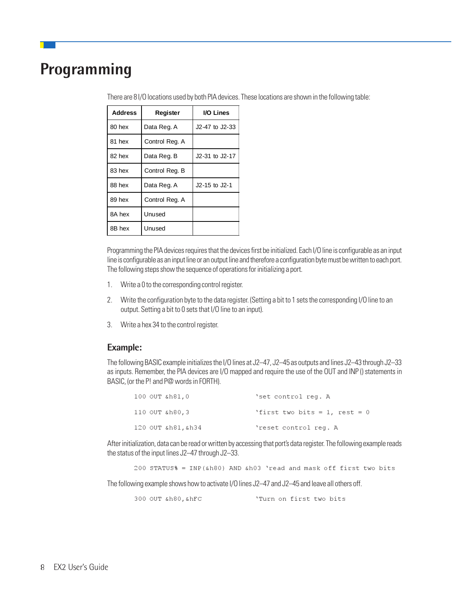### **Programming**

| <b>Address</b> | Register       | I/O Lines      |
|----------------|----------------|----------------|
| 80 hex         | Data Reg. A    | J2-47 to J2-33 |
| 81 hex         | Control Reg. A |                |
| 82 hex         | Data Reg. B    | J2-31 to J2-17 |
| 83 hex         | Control Reg. B |                |
| 88 hex         | Data Reg. A    | J2-15 to J2-1  |
| 89 hex         | Control Reg. A |                |
| 8A hex         | Unused         |                |
| 8B hex         | Unused         |                |

There are 8 I/O locations used by both PIA devices. These locations are shown in the following table:

Programming the PIA devices requires that the devices first be initialized. Each I/O line is configurable as an input line is configurable as an input line or an output line and therefore a configuration byte must be written to each port. The following steps show the sequence of operations for initializing a port.

- 1. Write a 0 to the corresponding control register.
- 2. Write the configuration byte to the data register. (Setting a bit to 1 sets the corresponding I/O line to an output. Setting a bit to 0 sets that I/O line to an input).
- 3. Write a hex 34 to the control register.

#### **Example:**

The following BASIC example initializes the I/O lines at J2–47, J2–45 as outputs and lines J2–43 through J2–33 as inputs. Remember, the PIA devices are I/O mapped and require the use of the OUT and INP () statements in BASIC, (or the P! and P@ words in FORTH).

| 100 OUT &h81,0     | 'set control req. A             |
|--------------------|---------------------------------|
| 110 OUT &h80,3     | 'first two bits = 1, rest = $0$ |
| 120 OUT &h81, &h34 | 'reset control req. A           |

After initialization, data can be read or written by accessing that port's data register. The following example reads the status of the input lines J2–47 through J2–33.

```
200 STATUS% = INP(&h80) AND &h03 'read and mask off first two bits
```
The following example shows how to activate I/O lines J2–47 and J2–45 and leave all others off.

300 OUT &h80, &hFC Turn on first two bits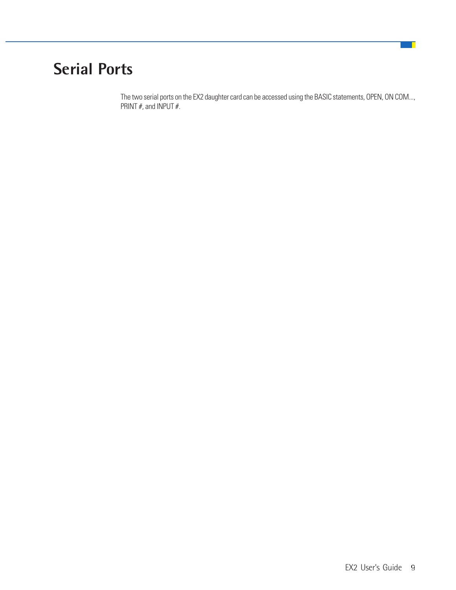# **Serial Ports**

The two serial ports on the EX2 daughter card can be accessed using the BASIC statements, OPEN, ON COM..., PRINT  $#$ , and INPUT  $#$ .

a T